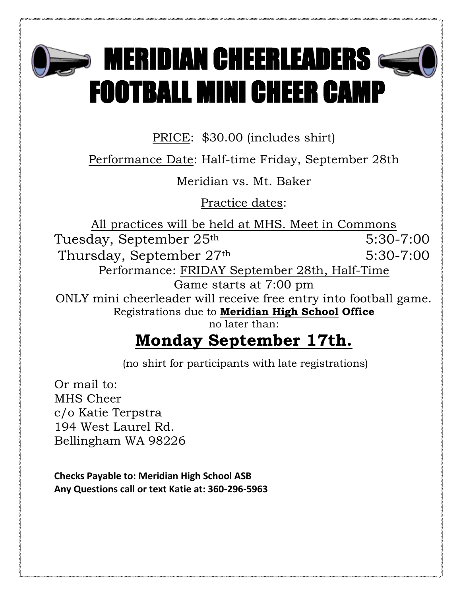

## $\bullet$  MERIDIAN CHEERLEADERS  $\epsilon$ FOOTBALL MINI CHEER CAMP

PRICE: \$30.00 (includes shirt)

Performance Date: Half-time Friday, September 28th

Meridian vs. Mt. Baker

Practice dates:

All practices will be held at MHS. Meet in Commons Tuesday, September 25<sup>th</sup> 5:30-7:00 Thursday, September 27<sup>th</sup> 5:30-7:00 Performance: FRIDAY September 28th, Half-Time Game starts at 7:00 pm ONLY mini cheerleader will receive free entry into football game. Registrations due to **Meridian High School Office** no later than:

## **Monday September 17th.**

(no shirt for participants with late registrations)

Or mail to: MHS Cheer c/o Katie Terpstra 194 West Laurel Rd. Bellingham WA 98226

**Checks Payable to: Meridian High School ASB Any Questions call or text Katie at: 360-296-5963**